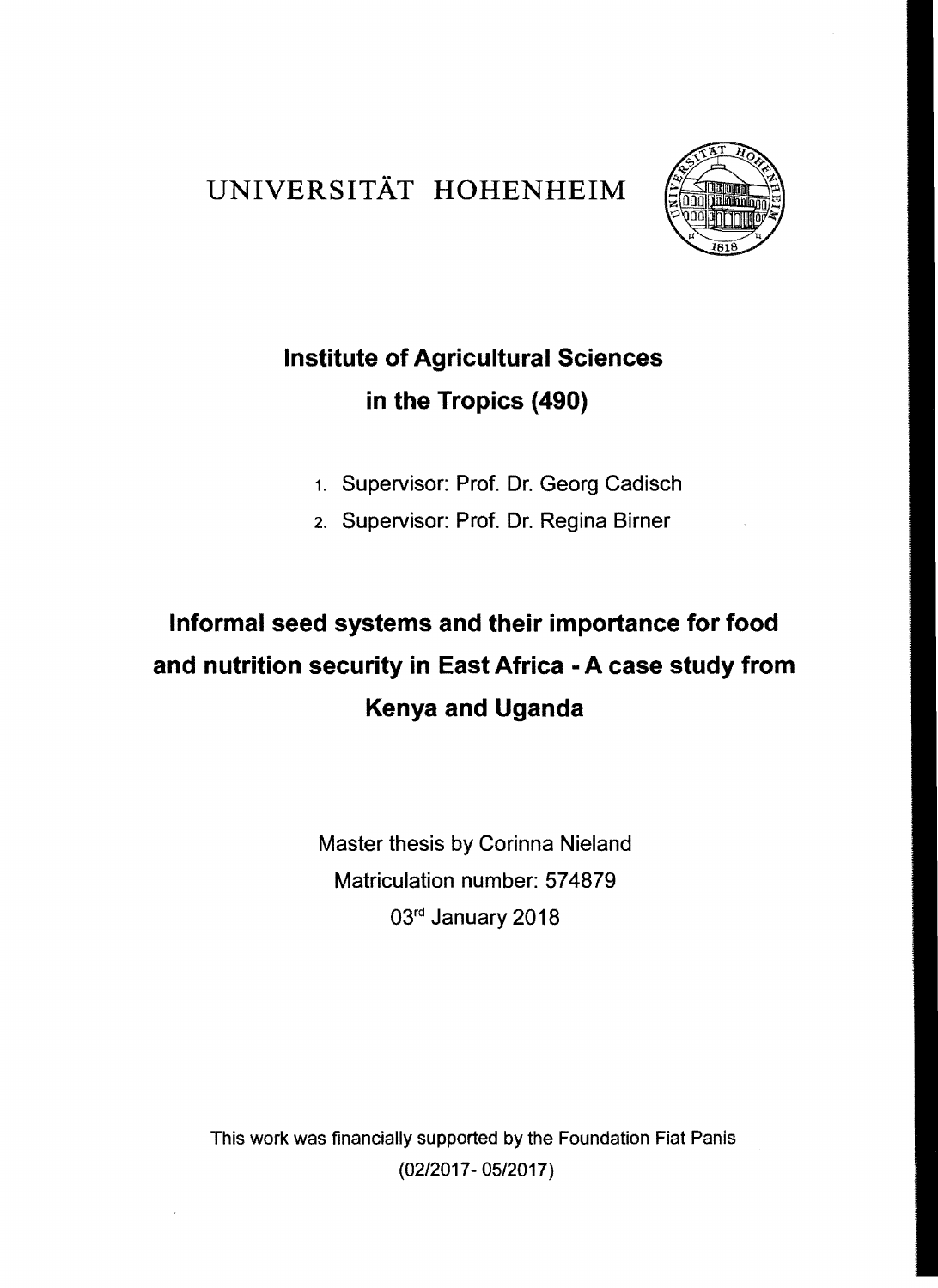## UNIVERSITÄT HOHENHEIM



## **Institute of Agricultural Sciences in the Tropics (490)**

- 1. Supervisor: Prof. Dr. Georg Cadisch
- 2. Supervisor: Prof. Dr. Regina Birner

## **Informal seed systems and their importance for food and nutrition security in East Africa - A case study from Kenya and Uganda**

Master thesis by Corinna Nieland Matriculation number: 574879 03rd January 2018

This work was financially supported by the Foundation Fiat Panis (02/2017- OS/2017)